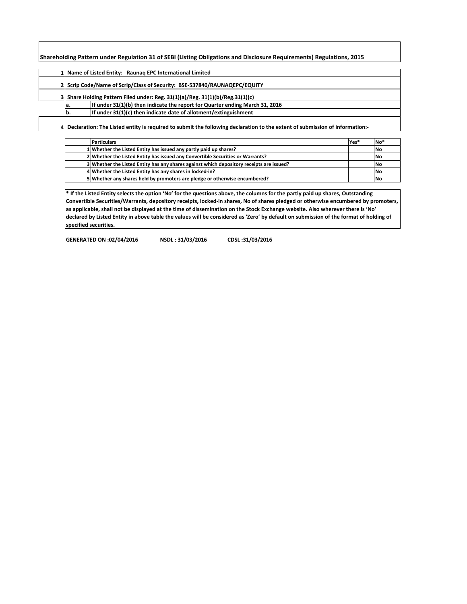**Shareholding Pattern under Regulation 31 of SEBI (Listing Obligations and Disclosure Requirements) Regulations, 2015**

|     | 1 Name of Listed Entity: Raunag EPC International Limited                         |
|-----|-----------------------------------------------------------------------------------|
|     | 2 Scrip Code/Name of Scrip/Class of Security: BSE-537840/RAUNAQEPC/EQUITY         |
|     | 3 Share Holding Pattern Filed under: Reg. $31(1)(a)/Reg.$ $31(1)(b)/Reg.31(1)(c)$ |
| la. | If under 31(1)(b) then indicate the report for Quarter ending March 31, 2016      |
| b.  | If under $31(1)(c)$ then indicate date of allotment/extinguishment                |
|     |                                                                                   |

**4 Declaration: The Listed entity is required to submit the following declaration to the extent of submission of information:-**

| <b>Particulars</b>                                                                       | Yes* | $No*$     |
|------------------------------------------------------------------------------------------|------|-----------|
| 1 Whether the Listed Entity has issued any partly paid up shares?                        |      | <b>No</b> |
| 2 Whether the Listed Entity has issued any Convertible Securities or Warrants?           |      | <b>No</b> |
| 3 Whether the Listed Entity has any shares against which depository receipts are issued? |      | <b>No</b> |
| 4 Whether the Listed Entity has any shares in locked-in?                                 |      | <b>No</b> |
| 5 Whether any shares held by promoters are pledge or otherwise encumbered?               |      | l No      |

**\* If the Listed Entity selects the option 'No' for the questions above, the columns for the partly paid up shares, Outstanding Convertible Securities/Warrants, depository receipts, locked-in shares, No of shares pledged or otherwise encumbered by promoters, as applicable, shall not be displayed at the time of dissemination on the Stock Exchange website. Also wherever there is 'No' declared by Listed Entity in above table the values will be considered as 'Zero' by default on submission of the format of holding of specified securities.**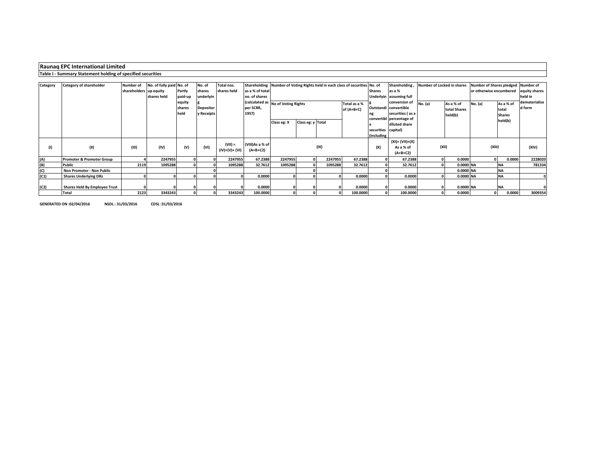# **Raunaq EPC International Limited**

### **Table I - Summary Statement holding of specified securities**

| Category | <b>Category of shareholder</b>       | <b>Number of</b>       | No. of fully paid No. of |         | No. of           | Total nos.      |                 |                                    |                   |         | Shareholding Number of Voting Rights held in each class of securities No. of |                         | Shareholding, Number of Locked in shares |         |              | Number of Shares pledged Number of |           |               |  |               |  |
|----------|--------------------------------------|------------------------|--------------------------|---------|------------------|-----------------|-----------------|------------------------------------|-------------------|---------|------------------------------------------------------------------------------|-------------------------|------------------------------------------|---------|--------------|------------------------------------|-----------|---------------|--|---------------|--|
|          |                                      |                        |                          |         |                  |                 |                 |                                    |                   |         |                                                                              |                         |                                          |         |              |                                    |           |               |  |               |  |
|          |                                      | shareholders up equity |                          | Partly  | shares           | shares held     | as a % of total |                                    |                   |         |                                                                              | <b>Shares</b>           | as a %                                   |         |              | or otherwise encumbered            |           | equity shares |  |               |  |
|          |                                      |                        | shares held              | paid-up | underlyin        |                 | no. of shares   |                                    |                   |         |                                                                              | Underlyin assuming full |                                          |         |              |                                    | held in   |               |  |               |  |
|          |                                      |                        |                          | equity  |                  |                 |                 | (calculated as No of Voting Rights |                   |         | Total as a %                                                                 |                         | conversion of                            | No. (a) | As a % of    | No. (a)                            | As a % of | dematerialise |  |               |  |
|          |                                      |                        |                          | shares  | <b>Depositor</b> |                 | per SCRR,       |                                    |                   |         |                                                                              |                         | Outstandi convertible                    |         | total Shares |                                    | total     | d form        |  |               |  |
|          |                                      |                        |                          | held    | y Receipts       |                 | 1957)           |                                    |                   |         | of (A+B+C)                                                                   |                         | securities (as a                         |         |              |                                    |           | held(b)       |  | <b>Shares</b> |  |
|          |                                      |                        |                          |         |                  |                 |                 |                                    |                   |         |                                                                              |                         | convertibl percentage of                 |         |              |                                    |           |               |  |               |  |
|          |                                      |                        |                          |         |                  |                 |                 | Class eg: X                        | Class eg: y Total |         |                                                                              |                         | diluted share                            |         |              |                                    | held(b)   |               |  |               |  |
|          |                                      |                        |                          |         |                  |                 |                 |                                    |                   |         |                                                                              |                         |                                          |         |              |                                    |           |               |  |               |  |
|          |                                      |                        |                          |         |                  |                 |                 |                                    |                   |         |                                                                              | securities capital)     |                                          |         |              |                                    |           |               |  |               |  |
|          |                                      |                        |                          |         |                  |                 |                 |                                    |                   |         |                                                                              | (including              |                                          |         |              |                                    |           |               |  |               |  |
|          |                                      |                        |                          |         |                  | $(VII) =$       | (VIII)As a % of |                                    |                   |         |                                                                              |                         | (XI)= (VII)+(X)                          |         |              |                                    |           |               |  |               |  |
| (1)      | (II)                                 | (III)                  | (IV)                     | (V)     | (VI)             |                 |                 |                                    |                   | (IX)    |                                                                              | (X)                     | As a % of                                | (XII)   |              | (XIII)                             |           | (XIV)         |  |               |  |
|          |                                      |                        |                          |         |                  | $(IV)+(V)+(VI)$ | $(A+B+C2)$      |                                    |                   |         |                                                                              |                         | $(A+B+C2)$                               |         |              |                                    |           |               |  |               |  |
| (A)      | <b>Promoter &amp; Promoter Group</b> |                        | 2247955                  |         |                  | 2247955         | 67.2388         | 2247955                            |                   | 2247955 | 67.2388                                                                      |                         | 67.2388                                  |         | 0.0000       |                                    | 0.0000    | 2228020       |  |               |  |
| (B)      | Public                               | 2119                   | 1095288                  |         |                  | 1095288         | 32.7612         | 1095288                            |                   | 1095288 | 32.7612                                                                      |                         | 32.7612                                  |         | 0.0000 NA    |                                    | <b>NA</b> | 781334        |  |               |  |
| (C)      | Non Promoter - Non Public            |                        |                          |         |                  |                 |                 |                                    |                   |         |                                                                              |                         |                                          |         | 0.0000 NA    |                                    | <b>NA</b> |               |  |               |  |
| (C1)     | <b>Shares Underlying DRs</b>         |                        |                          |         |                  |                 | 0.0000          |                                    |                   |         | 0.0000                                                                       |                         | 0.0000                                   |         | 0.0000 NA    |                                    | <b>NA</b> |               |  |               |  |
|          |                                      |                        |                          |         |                  |                 |                 |                                    |                   |         |                                                                              |                         |                                          |         |              |                                    |           |               |  |               |  |
| (C2)     | Shares Held By Employee Trust        |                        |                          |         |                  |                 | 0.0000          |                                    |                   |         | 0.0000                                                                       |                         | 0.0000                                   |         | 0.0000 NA    |                                    | <b>NA</b> |               |  |               |  |
|          | Total                                | 2123                   | 3343243                  |         |                  | 3343243         | 100.0000        |                                    |                   |         | 100.0000                                                                     |                         | 100.0000                                 |         | 0.0000       |                                    | 0.0000    | 3009354       |  |               |  |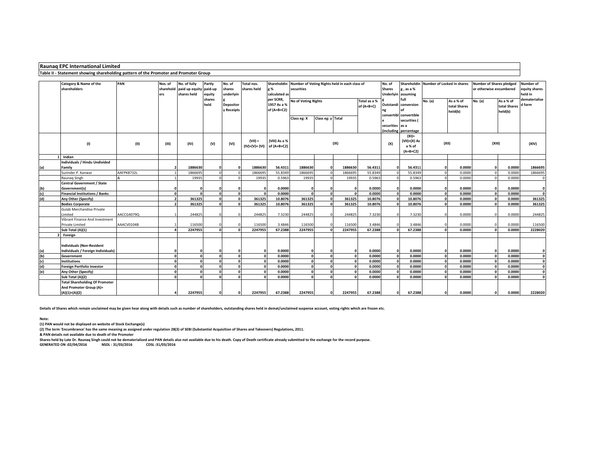### **Raunaq EPC International Limited**

#### **Table II - Statement showing shareholding pattern of the Promoter and Promoter Group**

|     | Category & Name of the<br>shareholders                                              | PAN        | Nos. of<br>ers | No. of fully<br>sharehold paid up equity paid-up<br>shares held | Partly<br>equity<br>shares<br>held | No. of<br>shares<br>underlyin<br>Depositor<br>y Receipts | Total nos.<br>shares held                  | g %<br>calculated as<br>per SCRR,<br>1957 As a %<br>of $(A+B+C2)$ | Shareholdin Number of Voting Rights held in each class of<br>securities<br><b>No of Voting Rights</b><br>Total as a %<br>of (A+B+C)<br>Class eg: y Total<br>Class eg: X |              |            |         | No. of<br><b>Shares</b><br>Underlyin assuming<br>securities as a | $g$ , as a %<br>full<br>Outstandi conversion<br>convertibl convertible<br>securities ( | Shareholdin Number of Locked in shares<br>No. (a) | As a % of<br>total Shares<br>held(b) | <b>Number of Shares pledged</b><br>or otherwise encumbered<br>No. (a) | As a % of<br>total Shares<br>held(b) | Number of<br>equity shares<br>held in<br>dematerialise<br>d form |
|-----|-------------------------------------------------------------------------------------|------------|----------------|-----------------------------------------------------------------|------------------------------------|----------------------------------------------------------|--------------------------------------------|-------------------------------------------------------------------|-------------------------------------------------------------------------------------------------------------------------------------------------------------------------|--------------|------------|---------|------------------------------------------------------------------|----------------------------------------------------------------------------------------|---------------------------------------------------|--------------------------------------|-----------------------------------------------------------------------|--------------------------------------|------------------------------------------------------------------|
|     | (1)                                                                                 | (II)       | (III)          | (IV)                                                            | (V)                                | (VI)                                                     | $(VII) =$<br>$(IV)+(V)+(VI)$ of $(A+B+C2)$ | (VIII) As a %                                                     |                                                                                                                                                                         |              | (IX)       |         | (X)                                                              | (including percentage<br>$(XI) =$<br>$(VII)+(X)$ As<br>a % of<br>$(A+B+C2)$            | (XII)                                             |                                      | (XIII)                                                                |                                      | (XIV)                                                            |
|     | Indian                                                                              |            |                |                                                                 |                                    |                                                          |                                            |                                                                   |                                                                                                                                                                         |              |            |         |                                                                  |                                                                                        |                                                   |                                      |                                                                       |                                      |                                                                  |
| (a) | Individuals / Hindu Undivided<br>Familv                                             |            |                | 1886630                                                         |                                    |                                                          | 1886630                                    | 56.4311                                                           | 1886630                                                                                                                                                                 | $\Omega$     | 1886630    | 56.4311 |                                                                  | 56.4311                                                                                |                                                   | 0.0000                               |                                                                       | 0.0000                               | 1866695                                                          |
|     | Surinder P. Kanwar                                                                  | AAFPK8732L |                | 1866695                                                         |                                    | $\Omega$                                                 | 186669                                     | 55.8349                                                           | 1866695                                                                                                                                                                 |              | 1866695    | 55.8349 |                                                                  | 55.8349                                                                                |                                                   | 0.0000                               |                                                                       | 0.0000                               | 1866695                                                          |
|     | Raunag Singh                                                                        |            |                | 19935                                                           |                                    |                                                          | 19935                                      | 0.5963                                                            | 19935                                                                                                                                                                   |              | 19935      | 0.5963  |                                                                  | 0.5963                                                                                 |                                                   | 0.0000                               |                                                                       | 0.0000                               |                                                                  |
| (b) | <b>Central Government / State</b><br>Government(s)                                  |            | $\Omega$       |                                                                 |                                    |                                                          |                                            | 0.0000                                                            | n                                                                                                                                                                       |              | $\Omega$   | 0.0000  |                                                                  | 0.0000                                                                                 |                                                   | 0.0000                               |                                                                       | 0.0000                               | $\Omega$                                                         |
| (c) | <b>Financial Institutions / Banks</b>                                               |            | $\Omega$       |                                                                 |                                    | $\sqrt{2}$                                               |                                            | 0.0000                                                            |                                                                                                                                                                         |              | $\sqrt{2}$ | 0.0000  |                                                                  | 0.0000                                                                                 |                                                   | 0.0000                               |                                                                       | 0.0000                               | $\sqrt{2}$                                                       |
| (d) | Any Other (Specify)                                                                 |            | $\overline{2}$ | 361325                                                          | n                                  | $\mathbf{o}$                                             | 361325                                     | 10.8076                                                           | 361325                                                                                                                                                                  | $\Omega$     | 361325     | 10.8076 |                                                                  | 10.8076                                                                                |                                                   | 0.0000                               |                                                                       | 0.0000                               | 361325                                                           |
|     | <b>Bodies Corporate</b>                                                             |            | $\overline{2}$ | 361325                                                          | n                                  | $\Omega$                                                 | 361325                                     | 10.8076                                                           | 361325                                                                                                                                                                  | $\Omega$     | 361325     | 10.8076 |                                                                  | 10.8076                                                                                |                                                   | 0.0000                               |                                                                       | 0.0000                               | 361325                                                           |
|     | Gulab Merchandise Private<br>Limited                                                | AACCG4079Q |                | 244825                                                          |                                    |                                                          | 244825                                     | 7.3230                                                            | 244825                                                                                                                                                                  | $\Omega$     | 244825     | 7.3230  |                                                                  | 7.3230                                                                                 |                                                   | 0.0000                               |                                                                       | 0.0000                               | 244825                                                           |
|     | Vibrant Finance And Investment                                                      |            |                |                                                                 |                                    |                                                          |                                            |                                                                   |                                                                                                                                                                         |              |            |         |                                                                  |                                                                                        |                                                   |                                      |                                                                       |                                      |                                                                  |
|     | Private Limited                                                                     | AAACV0104B |                | 116500                                                          |                                    |                                                          | 116500                                     | 3.4846                                                            | 116500                                                                                                                                                                  |              | 116500     | 3.4846  |                                                                  | 3.4846                                                                                 |                                                   | 0.0000                               |                                                                       | 0.0000                               | 116500                                                           |
|     | Sub Total (A)(1)                                                                    |            |                | 2247955                                                         | n                                  | c                                                        | 2247955                                    | 67.2388                                                           | 2247955                                                                                                                                                                 |              | 2247955    | 67.2388 |                                                                  | 67.2388                                                                                |                                                   | 0.0000                               |                                                                       | 0.0000                               | 2228020                                                          |
|     | Foreign                                                                             |            |                |                                                                 |                                    |                                                          |                                            |                                                                   |                                                                                                                                                                         |              |            |         |                                                                  |                                                                                        |                                                   |                                      |                                                                       |                                      |                                                                  |
| (a) | <b>Individuals (Non-Resident</b><br>Individuals / Foreign Individuals)              |            | $\Omega$       |                                                                 | n                                  |                                                          |                                            | 0.0000                                                            | $\Omega$                                                                                                                                                                |              | $\Omega$   | 0.0000  |                                                                  | 0.0000                                                                                 |                                                   | 0.0000                               |                                                                       | 0.0000                               |                                                                  |
| (b) | Government                                                                          |            | $\Omega$       |                                                                 | $\Omega$                           | $\Omega$                                                 |                                            | 0.0000                                                            | $\mathbf{0}$                                                                                                                                                            | $\Omega$     | $\Omega$   | 0.0000  |                                                                  | 0.0000                                                                                 |                                                   | 0.0000                               |                                                                       | 0.0000                               | $\Omega$                                                         |
| (c) | <b>Institutions</b>                                                                 |            | οl             |                                                                 | $\Omega$                           | $\Omega$                                                 | $\Omega$                                   | 0.0000                                                            | $\mathbf{0}$                                                                                                                                                            | $\Omega$     | $\Omega$   | 0.0000  |                                                                  | 0.0000                                                                                 |                                                   | 0.0000                               | $\Omega$                                                              | 0.0000                               | $\Omega$                                                         |
| (d) | <b>Foreign Portfolio Investor</b>                                                   |            | $\Omega$       |                                                                 | n                                  |                                                          |                                            | 0.0000                                                            | $\Omega$                                                                                                                                                                |              |            | 0.0000  |                                                                  | 0.0000                                                                                 |                                                   | 0.0000                               |                                                                       | 0.0000                               |                                                                  |
| (e) | Any Other (Specify)                                                                 |            | $\Omega$       |                                                                 |                                    | $\Omega$                                                 |                                            | 0.0000                                                            | $\Omega$                                                                                                                                                                |              | $\Omega$   | 0.0000  |                                                                  | 0.0000                                                                                 |                                                   | 0.0000                               |                                                                       | 0.0000                               | $\sqrt{2}$                                                       |
|     | Sub Total (A)(2)                                                                    |            | $\Omega$       |                                                                 |                                    |                                                          |                                            | 0.0000                                                            | $\sqrt{2}$                                                                                                                                                              |              |            | 0.0000  |                                                                  | 0.0000                                                                                 |                                                   | 0.0000                               |                                                                       | 0.0000                               |                                                                  |
|     | <b>Total Shareholding Of Promoter</b><br>And Promoter Group (A)=<br>$(A)(1)+(A)(2)$ |            | $\Delta$       | 2247955                                                         | n                                  | $\Omega$                                                 | 2247955                                    | 67.2388                                                           | 2247955                                                                                                                                                                 | $\mathbf{o}$ | 2247955    | 67.2388 | $\Omega$                                                         | 67.2388                                                                                |                                                   | 0.0000                               |                                                                       | 0.0000                               | 2228020                                                          |

**Details of Shares which remain unclaimed may be given hear along with details such as number of shareholders, outstanding shares held in demat/unclaimed suspense account, voting rights which are frozen etc.**

#### **Note:**

**(1) PAN would not be displayed on website of Stock Exchange(s)** 

**(2) The term 'Encumbrance' has the same meaning as assigned under regulation 28(3) of SEBI (Substantial Acquisition of Shares and Takeovers) Regulations, 2011.**

**& PAN details not available due to death of the Promoter**

Shares held by Late Dr. Raunaq Singh could not be dematerialized and PAN details also not available due to his death. Copy of Death certificate already submitted to the exchange for the record purpose.<br>GENERATED ON :02/04/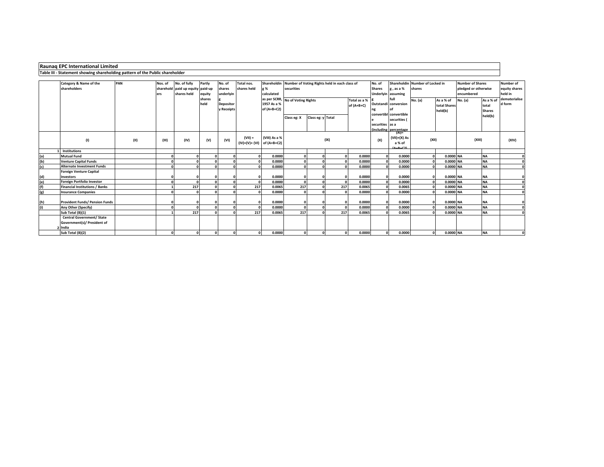|            | Raunaq EPC International Limited                                             |      |            |                                  |            |                          |                               |               |                                  |                                               |          |                  |                 |                                  |                                           |              |                      |                        |               |
|------------|------------------------------------------------------------------------------|------|------------|----------------------------------|------------|--------------------------|-------------------------------|---------------|----------------------------------|-----------------------------------------------|----------|------------------|-----------------|----------------------------------|-------------------------------------------|--------------|----------------------|------------------------|---------------|
|            | Table III - Statement showing shareholding pattern of the Public shareholder |      |            |                                  |            |                          |                               |               |                                  |                                               |          |                  |                 |                                  |                                           |              |                      |                        |               |
|            | <b>Number of Shares</b><br>No. of                                            |      |            |                                  |            |                          |                               |               |                                  |                                               |          |                  |                 |                                  |                                           |              |                      |                        |               |
|            | Category & Name of the                                                       | PAN  | Nos. of    | No. of fully                     | Partly     | No. of                   | Total nos.                    | Shareholdin   |                                  | Number of Voting Rights held in each class of |          |                  |                 |                                  | Shareholdir<br><b>Number of Locked in</b> |              |                      | Number of              |               |
|            | shareholders                                                                 |      |            | sharehold paid up equity paid-up |            | shares                   | shares held                   | g %           | securities                       |                                               |          |                  | <b>Shares</b>   | g, as a %                        | shares                                    |              | pledged or otherwise | equity shares          |               |
|            |                                                                              |      | ers        | shares held                      | equity     | underlyin                |                               | calculated    |                                  |                                               |          |                  |                 | <b>Underlyin</b> assuming        |                                           |              | encumbered           |                        | held in       |
|            |                                                                              |      |            |                                  | shares     |                          |                               |               | as per SCRR, No of Voting Rights |                                               |          | Total as a %     |                 | full                             | No. (a)                                   | As a % of    | No. (a)              | As a % of              | dematerialise |
|            |                                                                              |      |            |                                  | held       | <b>Depositor</b>         |                               | 1957 As a %   |                                  |                                               |          | of (A+B+C)       |                 | Outstandi conversion             |                                           | total Shares |                      | total                  | d form        |
|            |                                                                              |      |            |                                  |            | y Receipts               |                               | of $(A+B+C2)$ |                                  |                                               |          | ng               |                 |                                  | held(b)                                   |              | <b>Shares</b>        |                        |               |
|            |                                                                              |      |            |                                  |            |                          |                               |               | Class eg: X                      | Class eg: y Total                             |          |                  |                 | convertibl convertible           |                                           |              |                      | held(b)                |               |
|            |                                                                              |      |            |                                  |            |                          |                               |               |                                  |                                               |          |                  |                 | securities (                     |                                           |              |                      |                        |               |
|            |                                                                              |      |            |                                  |            |                          |                               |               |                                  |                                               |          |                  | securities as a |                                  |                                           |              |                      |                        |               |
|            |                                                                              |      |            |                                  |            |                          |                               |               |                                  |                                               |          |                  |                 | including percentage<br>$(XI) =$ |                                           |              |                      |                        |               |
|            |                                                                              |      |            |                                  |            |                          | $(VII) =$                     | (VIII) As a % |                                  |                                               |          |                  |                 | $(VII)+(X)$ As                   |                                           |              |                      |                        |               |
|            | (1)                                                                          | (II) | (III)      | (IV)                             | (V)        | (VI)                     | $(IV)+(V)+(VI)$ of $(A+B+C2)$ |               | (IX)                             |                                               |          |                  | (X)             | a % of                           | (XII)                                     |              | (XIII)               |                        | (XIV)         |
|            |                                                                              |      |            |                                  |            |                          |                               |               |                                  |                                               |          |                  | <b>A+P+C21</b>  |                                  |                                           |              |                      |                        |               |
|            | <b>Institutions</b>                                                          |      |            |                                  |            |                          |                               |               |                                  |                                               |          |                  |                 |                                  |                                           |              |                      |                        |               |
| (a)        | <b>Mutual Fund</b>                                                           |      |            |                                  |            | $\Omega$                 |                               | 0.0000        |                                  |                                               |          | 0.0000           | $\sqrt{2}$      | 0.0000                           |                                           | 0.0000 NA    |                      | <b>NA</b>              |               |
| (b)<br>(c) | <b>Venture Capital Funds</b>                                                 |      | $\Omega$   |                                  |            | $\sqrt{2}$<br>$\sqrt{2}$ |                               | 0.0000        |                                  |                                               |          | 0.0000           | n               | 0.0000                           |                                           | 0.0000 NA    |                      | <b>NA</b><br><b>NA</b> |               |
|            | <b>Alternate Investment Funds</b>                                            |      |            |                                  |            |                          |                               | 0.0000        |                                  |                                               |          | 0.0000           |                 | 0.0000                           |                                           | 0.0000 NA    |                      |                        |               |
|            | <b>Foreign Venture Capital</b>                                               |      |            |                                  |            |                          |                               | 0.0000        |                                  |                                               |          |                  | $\sqrt{2}$      | 0.0000                           |                                           | 0.0000 NA    |                      |                        |               |
| (d)<br>(e) | Investors<br>Foreign Portfolio Investor                                      |      |            |                                  |            | $\sqrt{2}$               |                               | 0.0000        |                                  |                                               |          | 0.0000<br>0.0000 |                 | 0.0000                           |                                           | 0.0000 NA    |                      | <b>NA</b><br><b>NA</b> |               |
| (f)        | <b>Financial Institutions / Banks</b>                                        |      |            | 217                              |            | $\sqrt{2}$               | 217                           | 0.0065        | 217                              |                                               | 217      | 0.0065           |                 | 0.0065                           |                                           | 0.0000 NA    |                      | <b>NA</b>              |               |
| (g)        | <b>Insurance Companies</b>                                                   |      |            |                                  |            | $\Omega$                 |                               | 0.0000        |                                  |                                               |          | 0.0000           |                 | 0.0000                           |                                           | 0.0000 NA    |                      | <b>NA</b>              |               |
|            |                                                                              |      |            |                                  |            |                          |                               |               |                                  |                                               |          |                  |                 |                                  |                                           |              |                      |                        |               |
|            | <b>Provident Funds/ Pension Funds</b>                                        |      |            |                                  |            | $\Omega$                 |                               | 0.0000        |                                  |                                               |          | 0.0000           |                 | 0.0000                           |                                           | 0.0000 NA    |                      | <b>NA</b>              |               |
| (h)<br>(i) | Any Other (Specify)                                                          |      |            |                                  |            | $\sqrt{2}$               |                               | 0.0000        |                                  |                                               |          | 0.0000           |                 | 0.0000                           |                                           | 0.0000 NA    |                      | <b>NA</b>              |               |
|            | Sub Total (B)(1)                                                             |      |            | 217                              |            | $\sqrt{2}$               | 217                           | 0.0065        | 217                              |                                               | 217      | 0.0065           |                 | 0.0065                           |                                           | 0.0000 NA    |                      | <b>NA</b>              |               |
|            | <b>Central Government/ State</b>                                             |      |            |                                  |            |                          |                               |               |                                  |                                               |          |                  |                 |                                  |                                           |              |                      |                        |               |
|            | Government(s)/ President of                                                  |      |            |                                  |            |                          |                               |               |                                  |                                               |          |                  |                 |                                  |                                           |              |                      |                        |               |
|            | India                                                                        |      |            |                                  |            |                          |                               |               |                                  |                                               |          |                  |                 |                                  |                                           |              |                      |                        |               |
|            | Sub Total (B)(2)                                                             |      | $\sqrt{2}$ |                                  | $\sqrt{2}$ | $\Omega$                 |                               | 0.0000        |                                  |                                               | $\Omega$ | 0.0000           | n               | 0.0000                           |                                           | 0.0000 NA    |                      | <b>NA</b>              |               |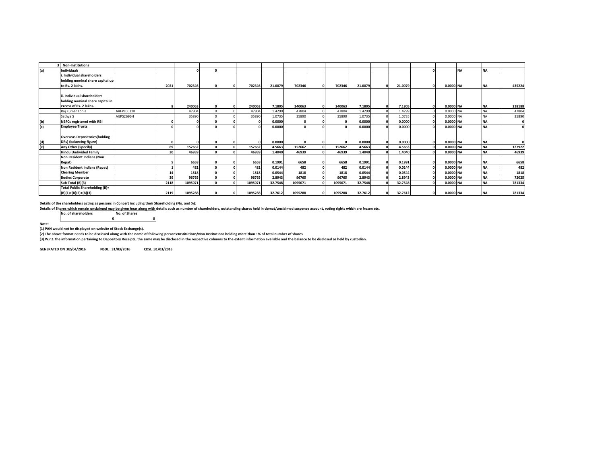|     | <b>Non-Institutions</b>                                                                   |            |      |         |          |         |         |         |            |              |         |   |         |          |           |           |           |          |
|-----|-------------------------------------------------------------------------------------------|------------|------|---------|----------|---------|---------|---------|------------|--------------|---------|---|---------|----------|-----------|-----------|-----------|----------|
| (a) | <b>Individuals</b>                                                                        |            |      |         |          |         |         |         |            |              |         |   |         |          |           | <b>NA</b> | <b>NA</b> |          |
|     | . Individual shareholders<br>holding nominal share capital up<br>to Rs. 2 lakhs.          |            | 2021 | 702346  |          | 702346  | 21.0079 | 702346  | $\Omega$   | 702346       | 21.0079 |   | 21.0079 |          | 0.0000 NA |           | <b>NA</b> | 435224   |
|     | ii. Individual shareholders<br>holding nominal share capital in<br>excess of Rs. 2 lakhs. |            |      | 240063  | $\Omega$ | 240063  | 7.1805  | 240063  | $\Omega$   | 240063       | 7.1805  | n | 7.1805  | $\Omega$ | 0.0000 NA |           | <b>NA</b> | 218188   |
|     | Rai Kumar Lohia                                                                           | AAFPL0031K |      | 47804   |          | 47804   | 1.4299  | 47804   |            | 47804        | 1.4299  |   | 1.4299  |          | 0.0000 NA |           | <b>NA</b> | 47804    |
|     | Sathva S                                                                                  | AIJPS2696H |      | 35890   |          | 35890   | 1.0735  | 35890   |            | 35890        | 1.0735  |   | 1.0735  |          | 0.0000 NA |           | <b>NA</b> | 35890    |
| (b) | <b>NBFCs registered with RBI</b>                                                          |            |      |         |          |         | 0.0000  |         |            | $\Omega$     | 0.0000  |   | 0.0000  |          | 0.0000 NA |           | <b>NA</b> |          |
| (c) | <b>Employee Trusts</b>                                                                    |            |      |         |          |         | 0.0000  |         |            | $\mathsf{a}$ | 0.0000  |   | 0.0000  |          | 0.0000 NA |           | <b>NA</b> |          |
| (d) | <b>Overseas Depositories (holding</b><br>DRs) (balancing figure)                          |            |      |         |          |         | 0.0000  |         | $\Omega$   | $\Omega$     | 0.0000  |   | 0.0000  |          | 0.0000 NA |           | <b>NA</b> | $\Omega$ |
| (e) | Any Other (Specify)                                                                       |            | 89   | 152662  |          | 152662  | 4.5663  | 152662  |            | 152662       | 4.5663  |   | 4.5663  |          | 0.0000 NA |           | <b>NA</b> | 127922   |
|     | <b>Hindu Undivided Family</b>                                                             |            | 30   | 46939   |          | 46939   | 1.4040  | 46939   |            | 46939        | 1.4040  |   | 1.4040  |          | 0.0000 NA |           | <b>NA</b> | 46939    |
|     | Non Resident Indians (Non<br>Repat)                                                       |            |      | 6658    |          | 6658    | 0.1991  | 6658    | $\sqrt{2}$ | 6658         | 0.1991  |   | 0.1991  |          | 0.0000 NA |           | <b>NA</b> | 6658     |
|     | Non Resident Indians (Repat)                                                              |            |      | 482     |          | 482     | 0.0144  | 482     |            | 482          | 0.0144  |   | 0.0144  |          | 0.0000 NA |           | <b>NA</b> | 482      |
|     | <b>Clearing Member</b>                                                                    |            | 14   | 1818    |          | 1818    | 0.0544  | 1818    |            | 1818         | 0.0544  |   | 0.0544  |          | 0.0000 NA |           | <b>NA</b> | 1818     |
|     | <b>Bodies Corporate</b>                                                                   |            | 39   | 96765   |          | 96765   | 2.8943  | 96765   |            | 96765        | 2.8943  |   | 2.8943  |          | 0.0000 NA |           | <b>NA</b> | 72025    |
|     | Sub Total (B)(3)                                                                          |            | 2118 | 1095071 |          | 1095071 | 32.7548 | 1095071 |            | 1095071      | 32.7548 |   | 32.7548 |          | 0.0000 NA |           | <b>NA</b> | 781334   |
|     | <b>Total Public Shareholding (B)=</b><br>$(B)(1)+(B)(2)+(B)(3)$                           |            | 2119 | 1095288 |          | 1095288 | 32.7612 | 1095288 | $\sqrt{2}$ | 1095288      | 32.7612 |   | 32.7612 |          | 0.0000 NA |           | <b>NA</b> | 781334   |

**Details of the shareholders acting as persons in Concert including their Shareholding (No. and %):**

Details of Shares which remain unclaimed may be given hear along with details such as number of shareholders, outstanding shares held in demat/unclaimed suspense account, voting rights which are frozen etc.<br>No. of sharehol

**No. of shareholders No. of Shares 0 0**

**Note:** 

**(1) PAN would not be displayed on website of Stock Exchange(s).** 

**(2) The above format needs to be disclosed along with the name of following persons:Institutions/Non Institutions holding more than 1% of total number of shares**

**(3) W.r.t. the information pertaining to Depository Receipts, the same may be disclosed in the respective columns to the extent information available and the balance to be disclosed as held by custodian.**